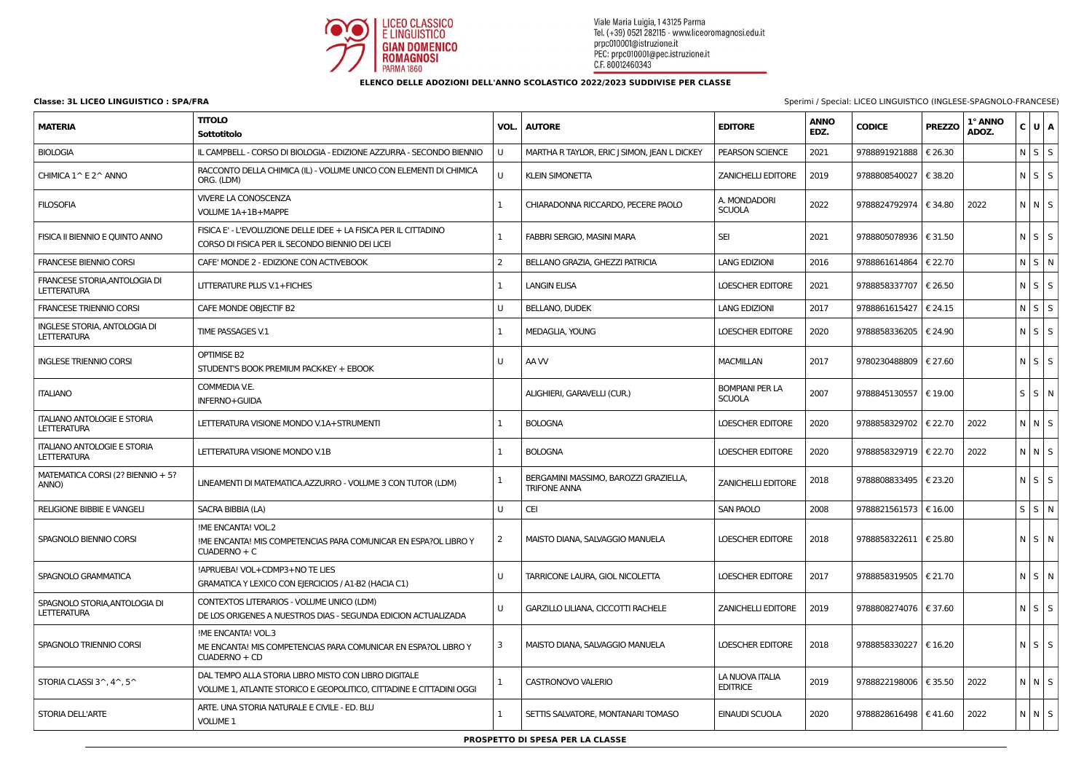

## **ELENCO DELLE ADOZIONI DELL'ANNO SCOLASTICO 2022/2023 SUDDIVISE PER CLASSE**

| <b>MATERIA</b>                                           | <b>TITOLO</b><br>Sottotitolo                                                                                                | VOL. | <b>AUTORE</b>                                                | <b>EDITORE</b>                          | <b>ANNO</b><br>EDZ. | <b>CODICE</b>             | <b>PREZZO</b> | 1° ANNO<br>ADOZ. |             | C U A       |
|----------------------------------------------------------|-----------------------------------------------------------------------------------------------------------------------------|------|--------------------------------------------------------------|-----------------------------------------|---------------------|---------------------------|---------------|------------------|-------------|-------------|
| <b>BIOLOGIA</b>                                          | IL CAMPBELL - CORSO DI BIOLOGIA - EDIZIONE AZZURRA - SECONDO BIENNIO                                                        | U    | MARTHA R TAYLOR, ERIC J SIMON, JEAN L DICKEY                 | <b>PEARSON SCIENCE</b>                  | 2021                | 9788891921888   € 26.30   |               |                  |             | N S S       |
| CHIMICA 1^ E 2^ ANNO                                     | RACCONTO DELLA CHIMICA (IL) - VOLUME UNICO CON ELEMENTI DI CHIMICA<br>ORG. (LDM)                                            | U    | <b>KLEIN SIMONETTA</b>                                       | <b>ZANICHELLI EDITORE</b>               | 2019                | 9788808540027   € 38.20   |               |                  | $N$ $S$ $S$ |             |
| <b>FILOSOFIA</b>                                         | <b>VIVERE LA CONOSCENZA</b><br>VOLUME 1A+1B+MAPPE                                                                           |      | CHIARADONNA RICCARDO, PECERE PAOLO                           | A. MONDADORI<br><b>SCUOLA</b>           | 2022                | 9788824792974   € 34.80   |               | 2022             |             | N N S       |
| FISICA II BIENNIO E QUINTO ANNO                          | FISICA E' - L'EVOLUZIONE DELLE IDEE + LA FISICA PER IL CITTADINO<br>CORSO DI FISICA PER IL SECONDO BIENNIO DEI LICEI        |      | <b>FABBRI SERGIO, MASINI MARA</b>                            | <b>SEI</b>                              | 2021                | 9788805078936   € 31.50   |               |                  | $N$ $S$ $S$ |             |
| <b>FRANCESE BIENNIO CORSI</b>                            | CAFE' MONDE 2 - EDIZIONE CON ACTIVEBOOK                                                                                     | 2    | BELLANO GRAZIA, GHEZZI PATRICIA                              | <b>LANG EDIZIONI</b>                    | 2016                | 9788861614864   € 22.70   |               |                  |             | N S N       |
| FRANCESE STORIA, ANTOLOGIA DI<br><b>LETTERATURA</b>      | LITTERATURE PLUS V.1+FICHES                                                                                                 |      | <b>LANGIN ELISA</b>                                          | <b>LOESCHER EDITORE</b>                 | 2021                | 9788858337707   € 26.50   |               |                  | $N$ $S$ $S$ |             |
| <b>FRANCESE TRIENNIO CORSI</b>                           | CAFE MONDE OBJECTIF B2                                                                                                      | U    | <b>BELLANO, DUDEK</b>                                        | <b>LANG EDIZIONI</b>                    | 2017                | 9788861615427             | € 24.15       |                  | $N$ $S$ $S$ |             |
| INGLESE STORIA, ANTOLOGIA DI<br><b>LETTERATURA</b>       | TIME PASSAGES V.1                                                                                                           |      | MEDAGLIA, YOUNG                                              | <b>LOESCHER EDITORE</b>                 | 2020                | 9788858336205   € 24.90   |               |                  | $N$ $S$ $S$ |             |
| <b>INGLESE TRIENNIO CORSI</b>                            | <b>OPTIMISE B2</b><br>STUDENT'S BOOK PREMIUM PACK-KEY + EBOOK                                                               | U    | AA W                                                         | <b>MACMILLAN</b>                        | 2017                | 9780230488809   € 27.60   |               |                  |             | $N$ $S$ $S$ |
| <b>ITALIANO</b>                                          | COMMEDIA V.E.<br>INFERNO+GUIDA                                                                                              |      | ALIGHIERI, GARAVELLI (CUR.)                                  | <b>BOMPIANI PER LA</b><br><b>SCUOLA</b> | 2007                | 9788845130557   € 19.00   |               |                  |             | S S N       |
| <b>ITALIANO ANTOLOGIE E STORIA</b><br><b>LETTERATURA</b> | LETTERATURA VISIONE MONDO V.1A+STRUMENTI                                                                                    |      | <b>BOLOGNA</b>                                               | <b>LOESCHER EDITORE</b>                 | 2020                | 9788858329702   € 22.70   |               | 2022             |             | $N$ $N$ $S$ |
| <b>ITALIANO ANTOLOGIE E STORIA</b><br><b>LETTERATURA</b> | LETTERATURA VISIONE MONDO V.1B                                                                                              |      | <b>BOLOGNA</b>                                               | <b>LOESCHER EDITORE</b>                 | 2020                | 9788858329719   € 22.70   |               | 2022             | N N S       |             |
| MATEMATICA CORSI (2? BIENNIO + 5?<br>ANNO)               | LINEAMENTI DI MATEMATICA.AZZURRO - VOLUME 3 CON TUTOR (LDM)                                                                 |      | BERGAMINI MASSIMO, BAROZZI GRAZIELLA,<br><b>TRIFONE ANNA</b> | <b>ZANICHELLI EDITORE</b>               | 2018                | 9788808833495   € 23.20   |               |                  | $N$ $S$ $S$ |             |
| <b>RELIGIONE BIBBIE E VANGELI</b>                        | SACRA BIBBIA (LA)                                                                                                           | U    | <b>CEI</b>                                                   | <b>SAN PAOLO</b>                        | 2008                | 9788821561573 $\in$ 16.00 |               |                  |             | S S N       |
| SPAGNOLO BIENNIO CORSI                                   | IME ENCANTA! VOL.2<br>IME ENCANTA! MIS COMPETENCIAS PARA COMUNICAR EN ESPA?OL LIBRO Y<br>$CUADERNO + C$                     | 2    | MAISTO DIANA, SALVAGGIO MANUELA                              | LOESCHER EDITORE                        | 2018                | 9788858322611   € 25.80   |               |                  |             | $N$ $S$ $N$ |
| SPAGNOLO GRAMMATICA                                      | !APRUEBA! VOL+CDMP3+NOTE LIES<br>GRAMATICA Y LEXICO CON EJERCICIOS / A1-B2 (HACIA C1)                                       | U    | TARRICONE LAURA, GIOL NICOLETTA                              | <b>LOESCHER EDITORE</b>                 | 2017                | 9788858319505   € 21.70   |               |                  |             | NSN         |
| SPAGNOLO STORIA, ANTOLOGIA DI<br><b>LETTERATURA</b>      | CONTEXTOS LITERARIOS - VOLUME UNICO (LDM)<br>DE LOS ORIGENES A NUESTROS DIAS - SEGUNDA EDICION ACTUALIZADA                  | U    | GARZILLO LILIANA, CICCOTTI RACHELE                           | <b>ZANICHELLI EDITORE</b>               | 2019                | 9788808274076   € 37.60   |               |                  |             | $N$ $S$ $S$ |
| SPAGNOLO TRIENNIO CORSI                                  | <b>!ME ENCANTA! VOL.3</b><br>ME ENCANTA! MIS COMPETENCIAS PARA COMUNICAR EN ESPA?OL LIBRO Y<br>$CUADERNO + CD$              | 3    | MAISTO DIANA, SALVAGGIO MANUELA                              | <b>LOESCHER EDITORE</b>                 | 2018                | 9788858330227   € 16.20   |               |                  |             | $N$ $S$ $S$ |
| STORIA CLASSI 3^, 4^, 5^                                 | DAL TEMPO ALLA STORIA LIBRO MISTO CON LIBRO DIGITALE<br>VOLUME 1, ATLANTE STORICO E GEOPOLITICO, CITTADINE E CITTADINI OGGI |      | <b>CASTRONOVO VALERIO</b>                                    | LA NUOVA ITALIA<br><b>EDITRICE</b>      | 2019                | 9788822198006   € 35.50   |               | 2022             |             | N N S       |
| <b>STORIA DELL'ARTE</b>                                  | ARTE. UNA STORIA NATURALE E CIVILE - ED. BLU<br>VOLUME 1                                                                    |      | SETTIS SALVATORE, MONTANARI TOMASO                           | EINAUDI SCUOLA                          | 2020                | 9788828616498   €41.60    |               | 2022             |             | N N S       |
| <b>PROSPETTO DI SPESA PER LA CLASSE</b>                  |                                                                                                                             |      |                                                              |                                         |                     |                           |               |                  |             |             |

**Classe: 3L LICEO LINGUISTICO : SPA/FRA** Sperimi / Special: LICEO LINGUISTICO (INGLESE-SPAGNOLO-FRANCESE)